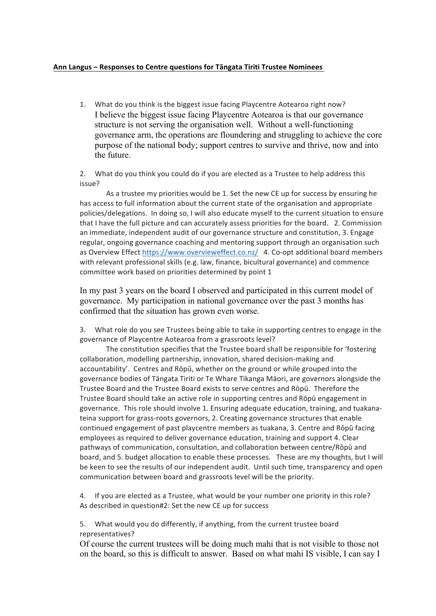## Ann Langus – Responses to Centre questions for Tāngata Tiriti Trustee Nominees

1. What do you think is the biggest issue facing Playcentre Aotearoa right now? I believe the biggest issue facing Playcentre Aotearoa is that our governance structure is not serving the organisation well. Without a well-functioning governance arm, the operations are floundering and struggling to achieve the core purpose of the national body; support centres to survive and thrive, now and into the future.

2. What do you think you could do if you are elected as a Trustee to help address this issue?

As a trustee my priorities would be 1. Set the new CE up for success by ensuring he has access to full information about the current state of the organisation and appropriate policies/delegations. In doing so, I will also educate myself to the current situation to ensure that I have the full picture and can accurately assess priorities for the board. 2. Commission an immediate, independent audit of our governance structure and constitution, 3. Engage regular, ongoing governance coaching and mentoring support through an organisation such as Overview Effect https://www.overvieweffect.co.nz/ 4. Co-opt additional board members with relevant professional skills (e.g. law, finance, bicultural governance) and commence committee work based on priorities determined by point 1

In my past 3 years on the board I observed and participated in this current model of governance. My participation in national governance over the past 3 months has confirmed that the situation has grown even worse.

3. What role do you see Trustees being able to take in supporting centres to engage in the governance of Playcentre Aotearoa from a grassroots level?

The constitution specifies that the Trustee board shall be responsible for 'fostering collaboration, modelling partnership, innovation, shared decision-making and accountability'. Centres and Rōpū, whether on the ground or while grouped into the governance bodies of Tāngata Tiriti or Te Whare Tikanga Māori, are governors alongside the Trustee Board and the Trustee Board exists to serve centres and Rōpū. Therefore the Trustee Board should take an active role in supporting centres and Rōpū engagement in governance. This role should involve 1. Ensuring adequate education, training, and tuakanateina support for grass-roots governors, 2. Creating governance structures that enable continued engagement of past playcentre members as tuakana, 3. Centre and Rōpū facing employees as required to deliver governance education, training and support 4. Clear pathways of communication, consultation, and collaboration between centre/Rōpū and board, and 5. budget allocation to enable these processes. These are my thoughts, but I will be keen to see the results of our independent audit. Until such time, transparency and open communication between board and grassroots level will be the priority.

4. If you are elected as a Trustee, what would be your number one priority in this role? As described in question#2: Set the new CE up for success

5. What would you do differently, if anything, from the current trustee board representatives?

Of course the current trustees will be doing much mahi that is not visible to those not on the board, so this is difficult to answer. Based on what mahi IS visible, I can say I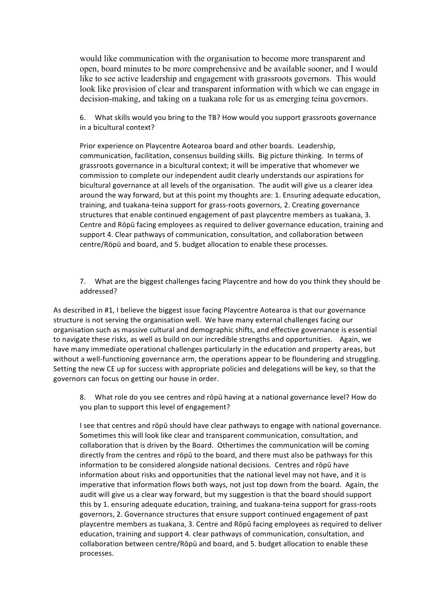would like communication with the organisation to become more transparent and open, board minutes to be more comprehensive and be available sooner, and I would like to see active leadership and engagement with grassroots governors. This would look like provision of clear and transparent information with which we can engage in decision-making, and taking on a tuakana role for us as emerging teina governors.

6. What skills would you bring to the TB? How would you support grassroots governance in a bicultural context?

Prior experience on Playcentre Aotearoa board and other boards. Leadership, communication, facilitation, consensus building skills. Big picture thinking. In terms of grassroots governance in a bicultural context; it will be imperative that whomever we commission to complete our independent audit clearly understands our aspirations for bicultural governance at all levels of the organisation. The audit will give us a clearer idea around the way forward, but at this point my thoughts are: 1. Ensuring adequate education, training, and tuakana-teina support for grass-roots governors, 2. Creating governance structures that enable continued engagement of past playcentre members as tuakana, 3. Centre and Rōpū facing employees as required to deliver governance education, training and support 4. Clear pathways of communication, consultation, and collaboration between centre/Rōpū and board, and 5. budget allocation to enable these processes.

7. What are the biggest challenges facing Playcentre and how do you think they should be addressed?

As described in #1, I believe the biggest issue facing Playcentre Aotearoa is that our governance structure is not serving the organisation well. We have many external challenges facing our organisation such as massive cultural and demographic shifts, and effective governance is essential to navigate these risks, as well as build on our incredible strengths and opportunities. Again, we have many immediate operational challenges particularly in the education and property areas, but without a well-functioning governance arm, the operations appear to be floundering and struggling. Setting the new CE up for success with appropriate policies and delegations will be key, so that the governors can focus on getting our house in order.

8. What role do you see centres and rōpū having at a national governance level? How do you plan to support this level of engagement?

I see that centres and rōpū should have clear pathways to engage with national governance. Sometimes this will look like clear and transparent communication, consultation, and collaboration that is driven by the Board. Othertimes the communication will be coming directly from the centres and rōpū to the board, and there must also be pathways for this information to be considered alongside national decisions. Centres and rōpū have information about risks and opportunities that the national level may not have, and it is imperative that information flows both ways, not just top down from the board. Again, the audit will give us a clear way forward, but my suggestion is that the board should support this by 1. ensuring adequate education, training, and tuakana-teina support for grass-roots governors, 2. Governance structures that ensure support continued engagement of past playcentre members as tuakana, 3. Centre and Rōpū facing employees as required to deliver education, training and support 4. clear pathways of communication, consultation, and collaboration between centre/Rōpū and board, and 5. budget allocation to enable these processes.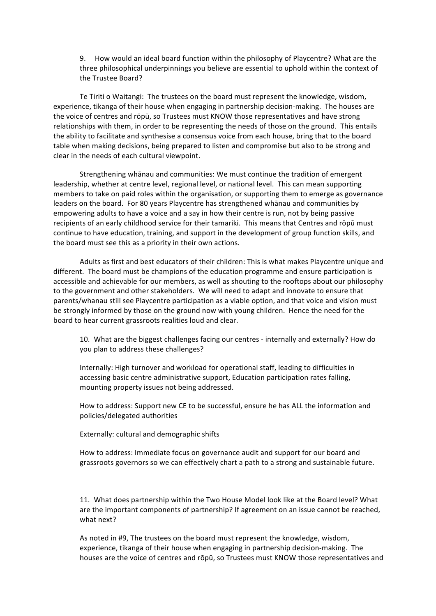9. How would an ideal board function within the philosophy of Playcentre? What are the three philosophical underpinnings you believe are essential to uphold within the context of the Trustee Board?

Te Tiriti o Waitangi: The trustees on the board must represent the knowledge, wisdom, experience, tikanga of their house when engaging in partnership decision-making. The houses are the voice of centres and rōpū, so Trustees must KNOW those representatives and have strong relationships with them, in order to be representing the needs of those on the ground. This entails the ability to facilitate and synthesise a consensus voice from each house, bring that to the board table when making decisions, being prepared to listen and compromise but also to be strong and clear in the needs of each cultural viewpoint.

Strengthening whanau and communities: We must continue the tradition of emergent leadership, whether at centre level, regional level, or national level. This can mean supporting members to take on paid roles within the organisation, or supporting them to emerge as governance leaders on the board. For 80 years Playcentre has strengthened whānau and communities by empowering adults to have a voice and a say in how their centre is run, not by being passive recipients of an early childhood service for their tamariki. This means that Centres and rōpū must continue to have education, training, and support in the development of group function skills, and the board must see this as a priority in their own actions.

Adults as first and best educators of their children: This is what makes Playcentre unique and different. The board must be champions of the education programme and ensure participation is accessible and achievable for our members, as well as shouting to the rooftops about our philosophy to the government and other stakeholders. We will need to adapt and innovate to ensure that parents/whanau still see Playcentre participation as a viable option, and that voice and vision must be strongly informed by those on the ground now with young children. Hence the need for the board to hear current grassroots realities loud and clear.

10. What are the biggest challenges facing our centres - internally and externally? How do you plan to address these challenges?

Internally: High turnover and workload for operational staff, leading to difficulties in accessing basic centre administrative support, Education participation rates falling, mounting property issues not being addressed.

How to address: Support new CE to be successful, ensure he has ALL the information and policies/delegated authorities

Externally: cultural and demographic shifts

How to address: Immediate focus on governance audit and support for our board and grassroots governors so we can effectively chart a path to a strong and sustainable future.

11. What does partnership within the Two House Model look like at the Board level? What are the important components of partnership? If agreement on an issue cannot be reached, what next?

As noted in #9, The trustees on the board must represent the knowledge, wisdom, experience, tikanga of their house when engaging in partnership decision-making. The houses are the voice of centres and rōpū, so Trustees must KNOW those representatives and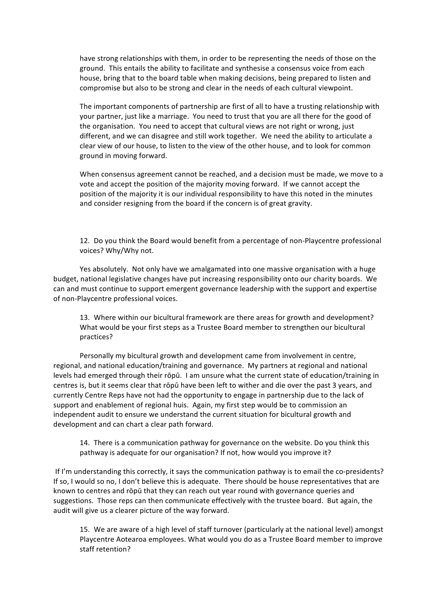have strong relationships with them, in order to be representing the needs of those on the ground. This entails the ability to facilitate and synthesise a consensus voice from each house, bring that to the board table when making decisions, being prepared to listen and compromise but also to be strong and clear in the needs of each cultural viewpoint.

The important components of partnership are first of all to have a trusting relationship with your partner, just like a marriage. You need to trust that you are all there for the good of the organisation. You need to accept that cultural views are not right or wrong, just different, and we can disagree and still work together. We need the ability to articulate a clear view of our house, to listen to the view of the other house, and to look for common ground in moving forward.

When consensus agreement cannot be reached, and a decision must be made, we move to a vote and accept the position of the majority moving forward. If we cannot accept the position of the majority it is our individual responsibility to have this noted in the minutes and consider resigning from the board if the concern is of great gravity.

12. Do you think the Board would benefit from a percentage of non-Playcentre professional voices? Why/Why not.

Yes absolutely. Not only have we amalgamated into one massive organisation with a huge budget, national legislative changes have put increasing responsibility onto our charity boards. We can and must continue to support emergent governance leadership with the support and expertise of non-Playcentre professional voices.

13. Where within our bicultural framework are there areas for growth and development? What would be your first steps as a Trustee Board member to strengthen our bicultural practices? 

Personally my bicultural growth and development came from involvement in centre, regional, and national education/training and governance. My partners at regional and national levels had emerged through their rōpū. I am unsure what the current state of education/training in centres is, but it seems clear that rōpū have been left to wither and die over the past 3 years, and currently Centre Reps have not had the opportunity to engage in partnership due to the lack of support and enablement of regional huis. Again, my first step would be to commission an independent audit to ensure we understand the current situation for bicultural growth and development and can chart a clear path forward.

14. There is a communication pathway for governance on the website. Do you think this pathway is adequate for our organisation? If not, how would you improve it?

If I'm understanding this correctly, it says the communication pathway is to email the co-presidents? If so, I would so no, I don't believe this is adequate. There should be house representatives that are known to centres and rōpū that they can reach out year round with governance queries and suggestions. Those reps can then communicate effectively with the trustee board. But again, the audit will give us a clearer picture of the way forward.

15. We are aware of a high level of staff turnover (particularly at the national level) amongst Playcentre Aotearoa employees. What would you do as a Trustee Board member to improve staff retention?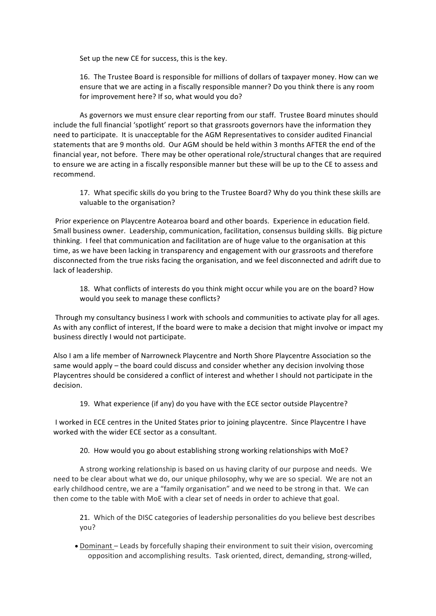Set up the new CE for success, this is the key.

16. The Trustee Board is responsible for millions of dollars of taxpayer money. How can we ensure that we are acting in a fiscally responsible manner? Do you think there is any room for improvement here? If so, what would you do?

As governors we must ensure clear reporting from our staff. Trustee Board minutes should include the full financial 'spotlight' report so that grassroots governors have the information they need to participate. It is unacceptable for the AGM Representatives to consider audited Financial statements that are 9 months old. Our AGM should be held within 3 months AFTER the end of the financial year, not before. There may be other operational role/structural changes that are required to ensure we are acting in a fiscally responsible manner but these will be up to the CE to assess and recommend. 

17. What specific skills do you bring to the Trustee Board? Why do you think these skills are valuable to the organisation?

Prior experience on Playcentre Aotearoa board and other boards. Experience in education field. Small business owner. Leadership, communication, facilitation, consensus building skills. Big picture thinking. I feel that communication and facilitation are of huge value to the organisation at this time, as we have been lacking in transparency and engagement with our grassroots and therefore disconnected from the true risks facing the organisation, and we feel disconnected and adrift due to lack of leadership.

18. What conflicts of interests do you think might occur while you are on the board? How would you seek to manage these conflicts?

Through my consultancy business I work with schools and communities to activate play for all ages. As with any conflict of interest, If the board were to make a decision that might involve or impact my business directly I would not participate.

Also I am a life member of Narrowneck Playcentre and North Shore Playcentre Association so the same would apply – the board could discuss and consider whether any decision involving those Playcentres should be considered a conflict of interest and whether I should not participate in the decision. 

19. What experience (if any) do you have with the ECE sector outside Playcentre?

I worked in ECE centres in the United States prior to joining playcentre. Since Playcentre I have worked with the wider ECE sector as a consultant.

20. How would you go about establishing strong working relationships with MoE?

A strong working relationship is based on us having clarity of our purpose and needs. We need to be clear about what we do, our unique philosophy, why we are so special. We are not an early childhood centre, we are a "family organisation" and we need to be strong in that. We can then come to the table with MoE with a clear set of needs in order to achieve that goal.

21. Which of the DISC categories of leadership personalities do you believe best describes you? 

• Dominant – Leads by forcefully shaping their environment to suit their vision, overcoming opposition and accomplishing results. Task oriented, direct, demanding, strong-willed,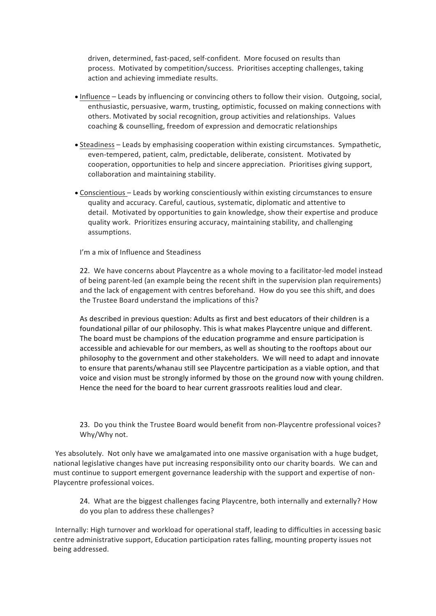driven, determined, fast-paced, self-confident. More focused on results than process. Motivated by competition/success. Prioritises accepting challenges, taking action and achieving immediate results.

- Influence Leads by influencing or convincing others to follow their vision. Outgoing, social, enthusiastic, persuasive, warm, trusting, optimistic, focussed on making connections with others. Motivated by social recognition, group activities and relationships. Values coaching & counselling, freedom of expression and democratic relationships
- Steadiness Leads by emphasising cooperation within existing circumstances. Sympathetic, even-tempered, patient, calm, predictable, deliberate, consistent. Motivated by cooperation, opportunities to help and sincere appreciation. Prioritises giving support, collaboration and maintaining stability.
- Conscientious Leads by working conscientiously within existing circumstances to ensure quality and accuracy. Careful, cautious, systematic, diplomatic and attentive to detail. Motivated by opportunities to gain knowledge, show their expertise and produce quality work. Prioritizes ensuring accuracy, maintaining stability, and challenging assumptions.

I'm a mix of Influence and Steadiness

22. We have concerns about Playcentre as a whole moving to a facilitator-led model instead of being parent-led (an example being the recent shift in the supervision plan requirements) and the lack of engagement with centres beforehand. How do you see this shift, and does the Trustee Board understand the implications of this?

As described in previous question: Adults as first and best educators of their children is a foundational pillar of our philosophy. This is what makes Playcentre unique and different. The board must be champions of the education programme and ensure participation is accessible and achievable for our members, as well as shouting to the rooftops about our philosophy to the government and other stakeholders. We will need to adapt and innovate to ensure that parents/whanau still see Playcentre participation as a viable option, and that voice and vision must be strongly informed by those on the ground now with young children. Hence the need for the board to hear current grassroots realities loud and clear.

23. Do you think the Trustee Board would benefit from non-Playcentre professional voices? Why/Why not.

Yes absolutely. Not only have we amalgamated into one massive organisation with a huge budget, national legislative changes have put increasing responsibility onto our charity boards. We can and must continue to support emergent governance leadership with the support and expertise of non-Playcentre professional voices. 

24. What are the biggest challenges facing Playcentre, both internally and externally? How do you plan to address these challenges?

Internally: High turnover and workload for operational staff, leading to difficulties in accessing basic centre administrative support, Education participation rates falling, mounting property issues not being addressed.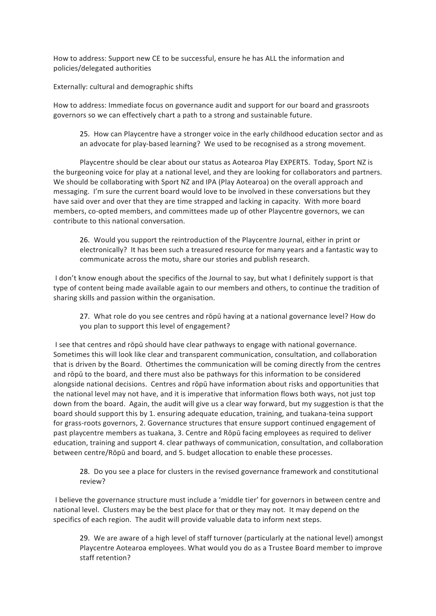How to address: Support new CE to be successful, ensure he has ALL the information and policies/delegated authorities

Externally: cultural and demographic shifts

How to address: Immediate focus on governance audit and support for our board and grassroots governors so we can effectively chart a path to a strong and sustainable future.

25. How can Playcentre have a stronger voice in the early childhood education sector and as an advocate for play-based learning? We used to be recognised as a strong movement.

Playcentre should be clear about our status as Aotearoa Play EXPERTS. Today, Sport NZ is the burgeoning voice for play at a national level, and they are looking for collaborators and partners. We should be collaborating with Sport NZ and IPA (Play Aotearoa) on the overall approach and messaging. I'm sure the current board would love to be involved in these conversations but they have said over and over that they are time strapped and lacking in capacity. With more board members, co-opted members, and committees made up of other Playcentre governors, we can contribute to this national conversation.

26. Would you support the reintroduction of the Playcentre Journal, either in print or electronically? It has been such a treasured resource for many years and a fantastic way to communicate across the motu, share our stories and publish research.

I don't know enough about the specifics of the Journal to say, but what I definitely support is that type of content being made available again to our members and others, to continue the tradition of sharing skills and passion within the organisation. 

27. What role do you see centres and rōpū having at a national governance level? How do you plan to support this level of engagement?

I see that centres and rōpū should have clear pathways to engage with national governance. Sometimes this will look like clear and transparent communication, consultation, and collaboration that is driven by the Board. Othertimes the communication will be coming directly from the centres and rōpū to the board, and there must also be pathways for this information to be considered alongside national decisions. Centres and rōpū have information about risks and opportunities that the national level may not have, and it is imperative that information flows both ways, not just top down from the board. Again, the audit will give us a clear way forward, but my suggestion is that the board should support this by 1. ensuring adequate education, training, and tuakana-teina support for grass-roots governors, 2. Governance structures that ensure support continued engagement of past playcentre members as tuakana, 3. Centre and Rōpū facing employees as required to deliver education, training and support 4. clear pathways of communication, consultation, and collaboration between centre/Rōpū and board, and 5. budget allocation to enable these processes.

28. Do you see a place for clusters in the revised governance framework and constitutional review?

I believe the governance structure must include a 'middle tier' for governors in between centre and national level. Clusters may be the best place for that or they may not. It may depend on the specifics of each region. The audit will provide valuable data to inform next steps.

29. We are aware of a high level of staff turnover (particularly at the national level) amongst Playcentre Aotearoa employees. What would you do as a Trustee Board member to improve staff retention?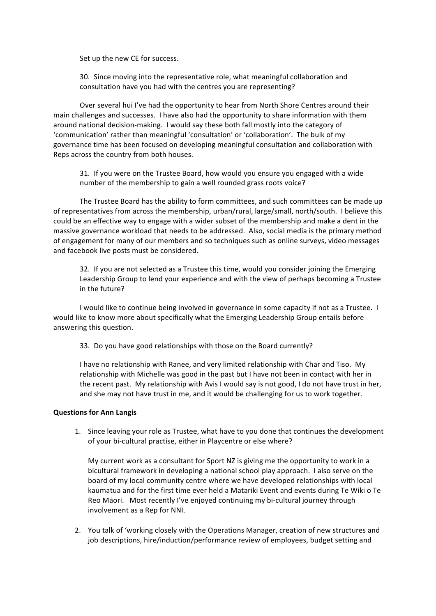Set up the new CE for success. 

30. Since moving into the representative role, what meaningful collaboration and consultation have you had with the centres you are representing?

Over several hui I've had the opportunity to hear from North Shore Centres around their main challenges and successes. I have also had the opportunity to share information with them around national decision-making. I would say these both fall mostly into the category of 'communication' rather than meaningful 'consultation' or 'collaboration'. The bulk of my governance time has been focused on developing meaningful consultation and collaboration with Reps across the country from both houses. 

31. If you were on the Trustee Board, how would you ensure you engaged with a wide number of the membership to gain a well rounded grass roots voice?

The Trustee Board has the ability to form committees, and such committees can be made up of representatives from across the membership, urban/rural, large/small, north/south. I believe this could be an effective way to engage with a wider subset of the membership and make a dent in the massive governance workload that needs to be addressed. Also, social media is the primary method of engagement for many of our members and so techniques such as online surveys, video messages and facebook live posts must be considered. 

32. If you are not selected as a Trustee this time, would you consider joining the Emerging Leadership Group to lend your experience and with the view of perhaps becoming a Trustee in the future?

I would like to continue being involved in governance in some capacity if not as a Trustee. I would like to know more about specifically what the Emerging Leadership Group entails before answering this question. 

33. Do you have good relationships with those on the Board currently?

I have no relationship with Ranee, and very limited relationship with Char and Tiso. My relationship with Michelle was good in the past but I have not been in contact with her in the recent past. My relationship with Avis I would say is not good, I do not have trust in her, and she may not have trust in me, and it would be challenging for us to work together.

## **Questions for Ann Langis**

1. Since leaving your role as Trustee, what have to you done that continues the development of your bi-cultural practise, either in Playcentre or else where?

My current work as a consultant for Sport NZ is giving me the opportunity to work in a bicultural framework in developing a national school play approach. I also serve on the board of my local community centre where we have developed relationships with local kaumatua and for the first time ever held a Matariki Event and events during Te Wiki o Te Reo Māori. Most recently I've enjoyed continuing my bi-cultural journey through involvement as a Rep for NNI.

2. You talk of 'working closely with the Operations Manager, creation of new structures and job descriptions, hire/induction/performance review of employees, budget setting and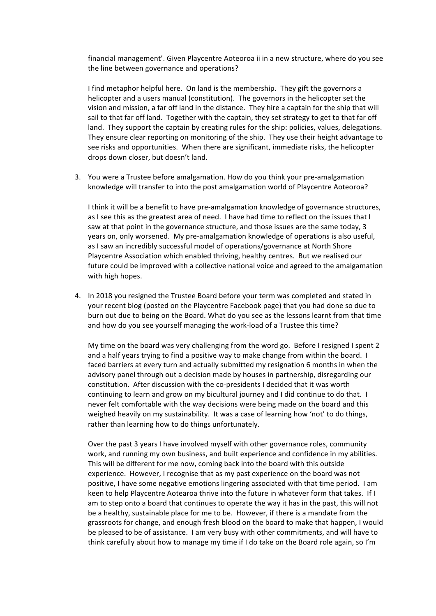financial management'. Given Playcentre Aoteoroa ii in a new structure, where do you see the line between governance and operations?

I find metaphor helpful here. On land is the membership. They gift the governors a helicopter and a users manual (constitution). The governors in the helicopter set the vision and mission, a far off land in the distance. They hire a captain for the ship that will sail to that far off land. Together with the captain, they set strategy to get to that far off land. They support the captain by creating rules for the ship: policies, values, delegations. They ensure clear reporting on monitoring of the ship. They use their height advantage to see risks and opportunities. When there are significant, immediate risks, the helicopter drops down closer, but doesn't land.

3. You were a Trustee before amalgamation. How do you think your pre-amalgamation knowledge will transfer to into the post amalgamation world of Playcentre Aoteoroa?

I think it will be a benefit to have pre-amalgamation knowledge of governance structures, as I see this as the greatest area of need. I have had time to reflect on the issues that I saw at that point in the governance structure, and those issues are the same today, 3 years on, only worsened. My pre-amalgamation knowledge of operations is also useful, as I saw an incredibly successful model of operations/governance at North Shore Playcentre Association which enabled thriving, healthy centres. But we realised our future could be improved with a collective national voice and agreed to the amalgamation with high hopes.

4. In 2018 you resigned the Trustee Board before your term was completed and stated in your recent blog (posted on the Playcentre Facebook page) that you had done so due to burn out due to being on the Board. What do you see as the lessons learnt from that time and how do you see yourself managing the work-load of a Trustee this time?

My time on the board was very challenging from the word go. Before I resigned I spent 2 and a half years trying to find a positive way to make change from within the board. I faced barriers at every turn and actually submitted my resignation 6 months in when the advisory panel through out a decision made by houses in partnership, disregarding our constitution. After discussion with the co-presidents I decided that it was worth continuing to learn and grow on my bicultural journey and I did continue to do that. I never felt comfortable with the way decisions were being made on the board and this weighed heavily on my sustainability. It was a case of learning how 'not' to do things, rather than learning how to do things unfortunately.

Over the past 3 years I have involved myself with other governance roles, community work, and running my own business, and built experience and confidence in my abilities. This will be different for me now, coming back into the board with this outside experience. However, I recognise that as my past experience on the board was not positive, I have some negative emotions lingering associated with that time period. I am keen to help Playcentre Aotearoa thrive into the future in whatever form that takes. If I am to step onto a board that continues to operate the way it has in the past, this will not be a healthy, sustainable place for me to be. However, if there is a mandate from the grassroots for change, and enough fresh blood on the board to make that happen, I would be pleased to be of assistance. I am very busy with other commitments, and will have to think carefully about how to manage my time if I do take on the Board role again, so I'm